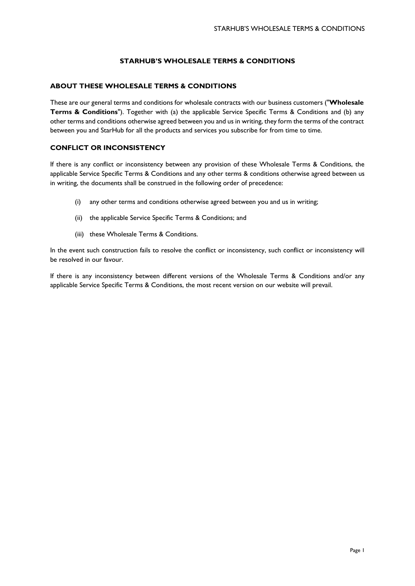# **STARHUB'S WHOLESALE TERMS & CONDITIONS**

## **ABOUT THESE WHOLESALE TERMS & CONDITIONS**

These are our general terms and conditions for wholesale contracts with our business customers ("**Wholesale Terms & Conditions**"). Together with (a) the applicable Service Specific Terms & Conditions and (b) any other terms and conditions otherwise agreed between you and us in writing, they form the terms of the contract between you and StarHub for all the products and services you subscribe for from time to time.

## **CONFLICT OR INCONSISTENCY**

If there is any conflict or inconsistency between any provision of these Wholesale Terms & Conditions, the applicable Service Specific Terms & Conditions and any other terms & conditions otherwise agreed between us in writing, the documents shall be construed in the following order of precedence:

- (i) any other terms and conditions otherwise agreed between you and us in writing;
- (ii) the applicable Service Specific Terms & Conditions; and
- (iii) these Wholesale Terms & Conditions.

In the event such construction fails to resolve the conflict or inconsistency, such conflict or inconsistency will be resolved in our favour.

If there is any inconsistency between different versions of the Wholesale Terms & Conditions and/or any applicable Service Specific Terms & Conditions, the most recent version on our website will prevail.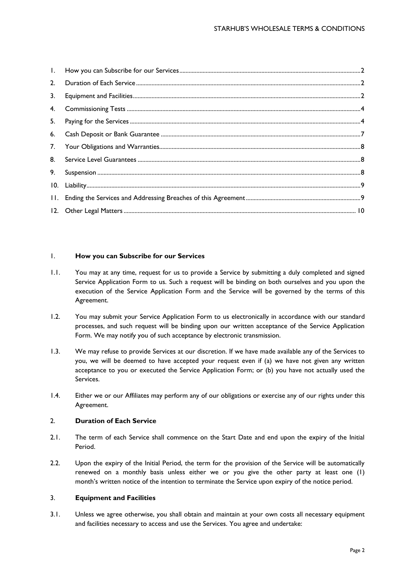| 2. |  |
|----|--|
| 3. |  |
|    |  |
|    |  |
|    |  |
|    |  |
|    |  |
| 9. |  |
|    |  |
|    |  |
|    |  |

# <span id="page-1-0"></span>1. **How you can Subscribe for our Services**

- 1.1. You may at any time, request for us to provide a Service by submitting a duly completed and signed Service Application Form to us. Such a request will be binding on both ourselves and you upon the execution of the Service Application Form and the Service will be governed by the terms of this Agreement.
- 1.2. You may submit your Service Application Form to us electronically in accordance with our standard processes, and such request will be binding upon our written acceptance of the Service Application Form. We may notify you of such acceptance by electronic transmission.
- 1.3. We may refuse to provide Services at our discretion. If we have made available any of the Services to you, we will be deemed to have accepted your request even if (a) we have not given any written acceptance to you or executed the Service Application Form; or (b) you have not actually used the Services.
- 1.4. Either we or our Affiliates may perform any of our obligations or exercise any of our rights under this Agreement.

## <span id="page-1-1"></span>2. **Duration of Each Service**

- 2.1. The term of each Service shall commence on the Start Date and end upon the expiry of the Initial Period.
- 2.2. Upon the expiry of the Initial Period, the term for the provision of the Service will be automatically renewed on a monthly basis unless either we or you give the other party at least one (1) month's written notice of the intention to terminate the Service upon expiry of the notice period.

## <span id="page-1-2"></span>3. **Equipment and Facilities**

3.1. Unless we agree otherwise, you shall obtain and maintain at your own costs all necessary equipment and facilities necessary to access and use the Services. You agree and undertake: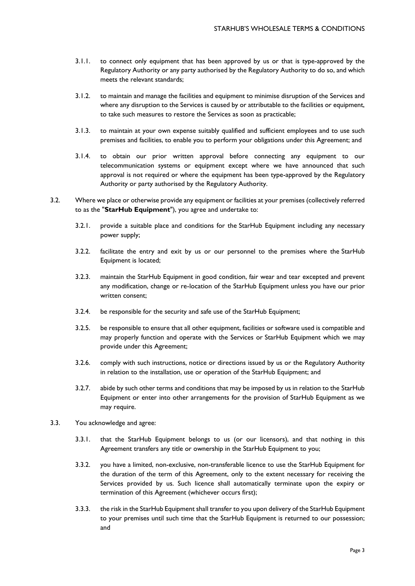- 3.1.1. to connect only equipment that has been approved by us or that is type-approved by the Regulatory Authority or any party authorised by the Regulatory Authority to do so, and which meets the relevant standards;
- 3.1.2. to maintain and manage the facilities and equipment to minimise disruption of the Services and where any disruption to the Services is caused by or attributable to the facilities or equipment, to take such measures to restore the Services as soon as practicable;
- 3.1.3. to maintain at your own expense suitably qualified and sufficient employees and to use such premises and facilities, to enable you to perform your obligations under this Agreement; and
- 3.1.4. to obtain our prior written approval before connecting any equipment to our telecommunication systems or equipment except where we have announced that such approval is not required or where the equipment has been type-approved by the Regulatory Authority or party authorised by the Regulatory Authority.
- 3.2. Where we place or otherwise provide any equipment or facilities at your premises (collectively referred to as the "**StarHub Equipment**"), you agree and undertake to:
	- 3.2.1. provide a suitable place and conditions for the StarHub Equipment including any necessary power supply;
	- 3.2.2. facilitate the entry and exit by us or our personnel to the premises where the StarHub Equipment is located;
	- 3.2.3. maintain the StarHub Equipment in good condition, fair wear and tear excepted and prevent any modification, change or re-location of the StarHub Equipment unless you have our prior written consent;
	- 3.2.4. be responsible for the security and safe use of the StarHub Equipment;
	- 3.2.5. be responsible to ensure that all other equipment, facilities or software used is compatible and may properly function and operate with the Services or StarHub Equipment which we may provide under this Agreement;
	- 3.2.6. comply with such instructions, notice or directions issued by us or the Regulatory Authority in relation to the installation, use or operation of the StarHub Equipment; and
	- 3.2.7. abide by such other terms and conditions that may be imposed by us in relation to the StarHub Equipment or enter into other arrangements for the provision of StarHub Equipment as we may require.
- 3.3. You acknowledge and agree:
	- 3.3.1. that the StarHub Equipment belongs to us (or our licensors), and that nothing in this Agreement transfers any title or ownership in the StarHub Equipment to you;
	- 3.3.2. you have a limited, non-exclusive, non-transferable licence to use the StarHub Equipment for the duration of the term of this Agreement, only to the extent necessary for receiving the Services provided by us. Such licence shall automatically terminate upon the expiry or termination of this Agreement (whichever occurs first);
	- 3.3.3. the risk in the StarHub Equipment shall transfer to you upon delivery of the StarHub Equipment to your premises until such time that the StarHub Equipment is returned to our possession; and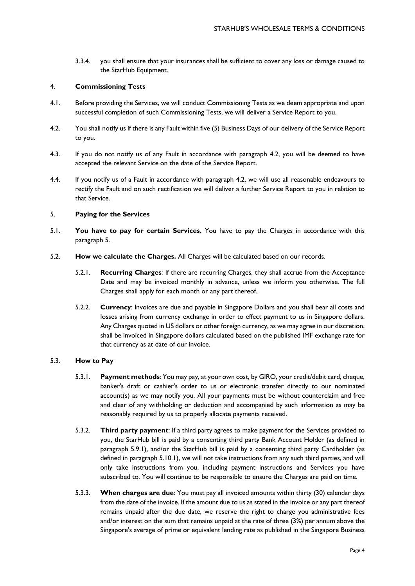3.3.4. you shall ensure that your insurances shall be sufficient to cover any loss or damage caused to the StarHub Equipment.

## <span id="page-3-0"></span>4. **Commissioning Tests**

- 4.1. Before providing the Services, we will conduct Commissioning Tests as we deem appropriate and upon successful completion of such Commissioning Tests, we will deliver a Service Report to you.
- 4.2. You shall notify us if there is any Fault within five (5) Business Days of our delivery of the Service Report to you.
- 4.3. If you do not notify us of any Fault in accordance with paragraph 4.2, you will be deemed to have accepted the relevant Service on the date of the Service Report.
- 4.4. If you notify us of a Fault in accordance with paragraph 4.2, we will use all reasonable endeavours to rectify the Fault and on such rectification we will deliver a further Service Report to you in relation to that Service.

## <span id="page-3-1"></span>5. **Paying for the Services**

- 5.1. **You have to pay for certain Services.** You have to pay the Charges in accordance with this paragraph 5.
- 5.2. **How we calculate the Charges.** All Charges will be calculated based on our records.
	- 5.2.1. **Recurring Charges**: If there are recurring Charges, they shall accrue from the Acceptance Date and may be invoiced monthly in advance, unless we inform you otherwise. The full Charges shall apply for each month or any part thereof.
	- 5.2.2. **Currency**: Invoices are due and payable in Singapore Dollars and you shall bear all costs and losses arising from currency exchange in order to effect payment to us in Singapore dollars. Any Charges quoted in US dollars or other foreign currency, as we may agree in our discretion, shall be invoiced in Singapore dollars calculated based on the published IMF exchange rate for that currency as at date of our invoice.

## 5.3. **How to Pay**

- 5.3.1. **Payment methods**: You may pay, at your own cost, by GIRO, your credit/debit card, cheque, banker's draft or cashier's order to us or electronic transfer directly to our nominated account(s) as we may notify you. All your payments must be without counterclaim and free and clear of any withholding or deduction and accompanied by such information as may be reasonably required by us to properly allocate payments received.
- 5.3.2. **Third party payment**: If a third party agrees to make payment for the Services provided to you, the StarHub bill is paid by a consenting third party Bank Account Holder (as defined in paragraph 5.9.1), and/or the StarHub bill is paid by a consenting third party Cardholder (as defined in paragraph 5.10.1), we will not take instructions from any such third parties, and will only take instructions from you, including payment instructions and Services you have subscribed to. You will continue to be responsible to ensure the Charges are paid on time.
- 5.3.3. **When charges are due**: You must pay all invoiced amounts within thirty (30) calendar days from the date of the invoice. If the amount due to us as stated in the invoice or any part thereof remains unpaid after the due date, we reserve the right to charge you administrative fees and/or interest on the sum that remains unpaid at the rate of three (3%) per annum above the Singapore's average of prime or equivalent lending rate as published in the Singapore Business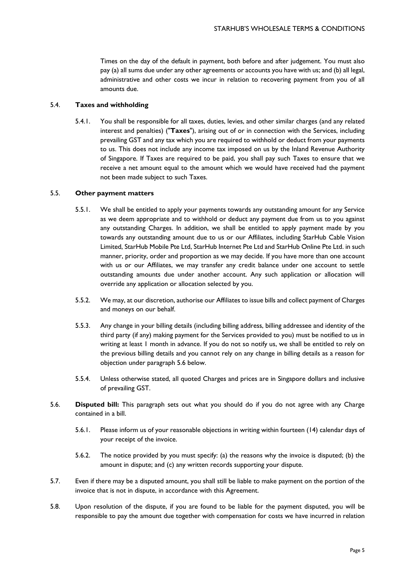Times on the day of the default in payment, both before and after judgement. You must also pay (a) all sums due under any other agreements or accounts you have with us; and (b) all legal, administrative and other costs we incur in relation to recovering payment from you of all amounts due.

## 5.4. **Taxes and withholding**

5.4.1. You shall be responsible for all taxes, duties, levies, and other similar charges (and any related interest and penalties) ("**Taxes**"), arising out of or in connection with the Services, including prevailing GST and any tax which you are required to withhold or deduct from your payments to us. This does not include any income tax imposed on us by the Inland Revenue Authority of Singapore. If Taxes are required to be paid, you shall pay such Taxes to ensure that we receive a net amount equal to the amount which we would have received had the payment not been made subject to such Taxes.

## 5.5. **Other payment matters**

- 5.5.1. We shall be entitled to apply your payments towards any outstanding amount for any Service as we deem appropriate and to withhold or deduct any payment due from us to you against any outstanding Charges. In addition, we shall be entitled to apply payment made by you towards any outstanding amount due to us or our Affiliates, including StarHub Cable Vision Limited, StarHub Mobile Pte Ltd, StarHub Internet Pte Ltd and StarHub Online Pte Ltd. in such manner, priority, order and proportion as we may decide. If you have more than one account with us or our Affiliates, we may transfer any credit balance under one account to settle outstanding amounts due under another account. Any such application or allocation will override any application or allocation selected by you.
- 5.5.2. We may, at our discretion, authorise our Affiliates to issue bills and collect payment of Charges and moneys on our behalf.
- 5.5.3. Any change in your billing details (including billing address, billing addressee and identity of the third party (if any) making payment for the Services provided to you) must be notified to us in writing at least 1 month in advance. If you do not so notify us, we shall be entitled to rely on the previous billing details and you cannot rely on any change in billing details as a reason for objection under paragraph 5.6 below.
- 5.5.4. Unless otherwise stated, all quoted Charges and prices are in Singapore dollars and inclusive of prevailing GST.
- 5.6. **Disputed bill:** This paragraph sets out what you should do if you do not agree with any Charge contained in a bill.
	- 5.6.1. Please inform us of your reasonable objections in writing within fourteen (14) calendar days of your receipt of the invoice.
	- 5.6.2. The notice provided by you must specify: (a) the reasons why the invoice is disputed; (b) the amount in dispute; and (c) any written records supporting your dispute.
- 5.7. Even if there may be a disputed amount, you shall still be liable to make payment on the portion of the invoice that is not in dispute, in accordance with this Agreement.
- 5.8. Upon resolution of the dispute, if you are found to be liable for the payment disputed, you will be responsible to pay the amount due together with compensation for costs we have incurred in relation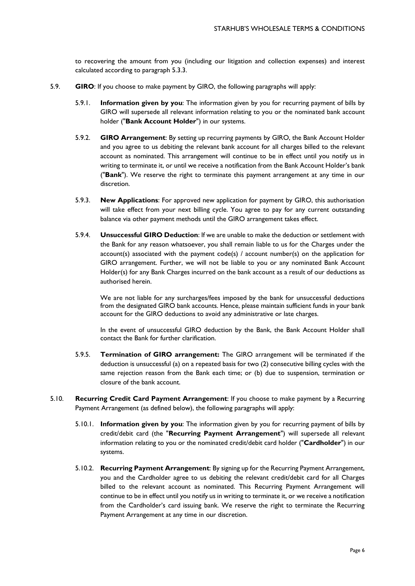to recovering the amount from you (including our litigation and collection expenses) and interest calculated according to paragraph 5.3.3.

- 5.9. **GIRO**: If you choose to make payment by GIRO, the following paragraphs will apply:
	- 5.9.1. **Information given by you**: The information given by you for recurring payment of bills by GIRO will supersede all relevant information relating to you or the nominated bank account holder ("**Bank Account Holder**") in our systems.
	- 5.9.2. **GIRO Arrangement**: By setting up recurring payments by GIRO, the Bank Account Holder and you agree to us debiting the relevant bank account for all charges billed to the relevant account as nominated. This arrangement will continue to be in effect until you notify us in writing to terminate it, or until we receive a notification from the Bank Account Holder's bank ("**Bank**"). We reserve the right to terminate this payment arrangement at any time in our discretion.
	- 5.9.3. **New Applications**: For approved new application for payment by GIRO, this authorisation will take effect from your next billing cycle. You agree to pay for any current outstanding balance via other payment methods until the GIRO arrangement takes effect.
	- 5.9.4. **Unsuccessful GIRO Deduction**: If we are unable to make the deduction or settlement with the Bank for any reason whatsoever, you shall remain liable to us for the Charges under the account(s) associated with the payment  $code(s)$  / account number(s) on the application for GIRO arrangement. Further, we will not be liable to you or any nominated Bank Account Holder(s) for any Bank Charges incurred on the bank account as a result of our deductions as authorised herein.

We are not liable for any surcharges/fees imposed by the bank for unsuccessful deductions from the designated GIRO bank accounts. Hence, please maintain sufficient funds in your bank account for the GIRO deductions to avoid any administrative or late charges.

In the event of unsuccessful GIRO deduction by the Bank, the Bank Account Holder shall contact the Bank for further clarification.

- 5.9.5. **Termination of GIRO arrangement:** The GIRO arrangement will be terminated if the deduction is unsuccessful (a) on a repeated basis for two (2) consecutive billing cycles with the same rejection reason from the Bank each time; or (b) due to suspension, termination or closure of the bank account.
- 5.10. **Recurring Credit Card Payment Arrangement**: If you choose to make payment by a Recurring Payment Arrangement (as defined below), the following paragraphs will apply:
	- 5.10.1. **Information given by you**: The information given by you for recurring payment of bills by credit/debit card (the "**Recurring Payment Arrangement**") will supersede all relevant information relating to you or the nominated credit/debit card holder ("**Cardholder**") in our systems.
	- 5.10.2. **Recurring Payment Arrangement**: By signing up for the Recurring Payment Arrangement, you and the Cardholder agree to us debiting the relevant credit/debit card for all Charges billed to the relevant account as nominated. This Recurring Payment Arrangement will continue to be in effect until you notify us in writing to terminate it, or we receive a notification from the Cardholder's card issuing bank. We reserve the right to terminate the Recurring Payment Arrangement at any time in our discretion.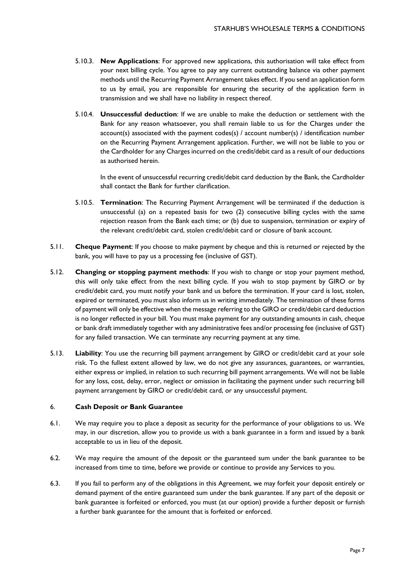- 5.10.3. **New Applications**: For approved new applications, this authorisation will take effect from your next billing cycle. You agree to pay any current outstanding balance via other payment methods until the Recurring Payment Arrangement takes effect. If you send an application form to us by email, you are responsible for ensuring the security of the application form in transmission and we shall have no liability in respect thereof.
- 5.10.4. **Unsuccessful deduction**: If we are unable to make the deduction or settlement with the Bank for any reason whatsoever, you shall remain liable to us for the Charges under the account(s) associated with the payment codes(s) / account number(s) / identification number on the Recurring Payment Arrangement application. Further, we will not be liable to you or the Cardholder for any Charges incurred on the credit/debit card as a result of our deductions as authorised herein.

In the event of unsuccessful recurring credit/debit card deduction by the Bank, the Cardholder shall contact the Bank for further clarification.

- 5.10.5. **Termination**: The Recurring Payment Arrangement will be terminated if the deduction is unsuccessful (a) on a repeated basis for two (2) consecutive billing cycles with the same rejection reason from the Bank each time; or (b) due to suspension, termination or expiry of the relevant credit/debit card, stolen credit/debit card or closure of bank account.
- 5.11. **Cheque Payment**: If you choose to make payment by cheque and this is returned or rejected by the bank, you will have to pay us a processing fee (inclusive of GST).
- 5.12. **Changing or stopping payment methods**: If you wish to change or stop your payment method, this will only take effect from the next billing cycle. If you wish to stop payment by GIRO or by credit/debit card, you must notify your bank and us before the termination. If your card is lost, stolen, expired or terminated, you must also inform us in writing immediately. The termination of these forms of payment will only be effective when the message referring to the GIRO or credit/debit card deduction is no longer reflected in your bill. You must make payment for any outstanding amounts in cash, cheque or bank draft immediately together with any administrative fees and/or processing fee (inclusive of GST) for any failed transaction. We can terminate any recurring payment at any time.
- 5.13. **Liability**: You use the recurring bill payment arrangement by GIRO or credit/debit card at your sole risk. To the fullest extent allowed by law, we do not give any assurances, guarantees, or warranties, either express or implied, in relation to such recurring bill payment arrangements. We will not be liable for any loss, cost, delay, error, neglect or omission in facilitating the payment under such recurring bill payment arrangement by GIRO or credit/debit card, or any unsuccessful payment.

# <span id="page-6-0"></span>6. **Cash Deposit or Bank Guarantee**

- 6.1. We may require you to place a deposit as security for the performance of your obligations to us. We may, in our discretion, allow you to provide us with a bank guarantee in a form and issued by a bank acceptable to us in lieu of the deposit.
- 6.2. We may require the amount of the deposit or the guaranteed sum under the bank guarantee to be increased from time to time, before we provide or continue to provide any Services to you.
- 6.3. If you fail to perform any of the obligations in this Agreement, we may forfeit your deposit entirely or demand payment of the entire guaranteed sum under the bank guarantee. If any part of the deposit or bank guarantee is forfeited or enforced, you must (at our option) provide a further deposit or furnish a further bank guarantee for the amount that is forfeited or enforced.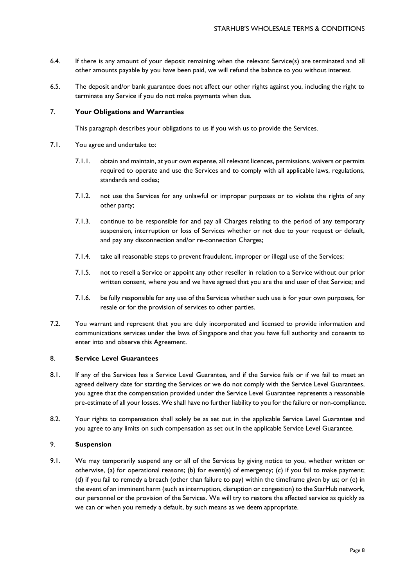- 6.4. If there is any amount of your deposit remaining when the relevant Service(s) are terminated and all other amounts payable by you have been paid, we will refund the balance to you without interest.
- 6.5. The deposit and/or bank guarantee does not affect our other rights against you, including the right to terminate any Service if you do not make payments when due.

# <span id="page-7-0"></span>7. **Your Obligations and Warranties**

This paragraph describes your obligations to us if you wish us to provide the Services.

- 7.1. You agree and undertake to:
	- 7.1.1. obtain and maintain, at your own expense, all relevant licences, permissions, waivers or permits required to operate and use the Services and to comply with all applicable laws, regulations, standards and codes;
	- 7.1.2. not use the Services for any unlawful or improper purposes or to violate the rights of any other party;
	- 7.1.3. continue to be responsible for and pay all Charges relating to the period of any temporary suspension, interruption or loss of Services whether or not due to your request or default, and pay any disconnection and/or re-connection Charges;
	- 7.1.4. take all reasonable steps to prevent fraudulent, improper or illegal use of the Services;
	- 7.1.5. not to resell a Service or appoint any other reseller in relation to a Service without our prior written consent, where you and we have agreed that you are the end user of that Service; and
	- 7.1.6. be fully responsible for any use of the Services whether such use is for your own purposes, for resale or for the provision of services to other parties.
- 7.2. You warrant and represent that you are duly incorporated and licensed to provide information and communications services under the laws of Singapore and that you have full authority and consents to enter into and observe this Agreement.

## <span id="page-7-1"></span>8. **Service Level Guarantees**

- 8.1. If any of the Services has a Service Level Guarantee, and if the Service fails or if we fail to meet an agreed delivery date for starting the Services or we do not comply with the Service Level Guarantees, you agree that the compensation provided under the Service Level Guarantee represents a reasonable pre-estimate of all your losses. We shall have no further liability to you for the failure or non-compliance.
- 8.2. Your rights to compensation shall solely be as set out in the applicable Service Level Guarantee and you agree to any limits on such compensation as set out in the applicable Service Level Guarantee.

## <span id="page-7-2"></span>9. **Suspension**

9.1. We may temporarily suspend any or all of the Services by giving notice to you, whether written or otherwise, (a) for operational reasons; (b) for event(s) of emergency; (c) if you fail to make payment; (d) if you fail to remedy a breach (other than failure to pay) within the timeframe given by us; or (e) in the event of an imminent harm (such as interruption, disruption or congestion) to the StarHub network, our personnel or the provision of the Services. We will try to restore the affected service as quickly as we can or when you remedy a default, by such means as we deem appropriate.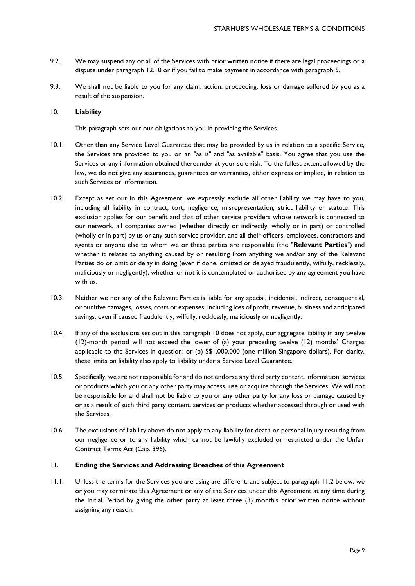- 9.2. We may suspend any or all of the Services with prior written notice if there are legal proceedings or a dispute under paragraph 12.10 or if you fail to make payment in accordance with paragraph 5.
- 9.3. We shall not be liable to you for any claim, action, proceeding, loss or damage suffered by you as a result of the suspension.

# <span id="page-8-0"></span>10. **Liability**

This paragraph sets out our obligations to you in providing the Services.

- 10.1. Other than any Service Level Guarantee that may be provided by us in relation to a specific Service, the Services are provided to you on an "as is" and "as available" basis. You agree that you use the Services or any information obtained thereunder at your sole risk. To the fullest extent allowed by the law, we do not give any assurances, guarantees or warranties, either express or implied, in relation to such Services or information.
- 10.2. Except as set out in this Agreement, we expressly exclude all other liability we may have to you, including all liability in contract, tort, negligence, misrepresentation, strict liability or statute. This exclusion applies for our benefit and that of other service providers whose network is connected to our network, all companies owned (whether directly or indirectly, wholly or in part) or controlled (wholly or in part) by us or any such service provider, and all their officers, employees, contractors and agents or anyone else to whom we or these parties are responsible (the "**Relevant Parties**") and whether it relates to anything caused by or resulting from anything we and/or any of the Relevant Parties do or omit or delay in doing (even if done, omitted or delayed fraudulently, wilfully, recklessly, maliciously or negligently), whether or not it is contemplated or authorised by any agreement you have with us.
- 10.3. Neither we nor any of the Relevant Parties is liable for any special, incidental, indirect, consequential, or punitive damages, losses, costs or expenses, including loss of profit, revenue, business and anticipated savings, even if caused fraudulently, wilfully, recklessly, maliciously or negligently.
- 10.4. If any of the exclusions set out in this paragraph 10 does not apply, our aggregate liability in any twelve (12)-month period will not exceed the lower of (a) your preceding twelve (12) months' Charges applicable to the Services in question; or (b) S\$1,000,000 (one million Singapore dollars). For clarity, these limits on liability also apply to liability under a Service Level Guarantee.
- 10.5. Specifically, we are not responsible for and do not endorse any third party content, information, services or products which you or any other party may access, use or acquire through the Services. We will not be responsible for and shall not be liable to you or any other party for any loss or damage caused by or as a result of such third party content, services or products whether accessed through or used with the Services.
- 10.6. The exclusions of liability above do not apply to any liability for death or personal injury resulting from our negligence or to any liability which cannot be lawfully excluded or restricted under the Unfair Contract Terms Act (Cap. 396).

## <span id="page-8-1"></span>11. **Ending the Services and Addressing Breaches of this Agreement**

11.1. Unless the terms for the Services you are using are different, and subject to paragraph 11.2 below, we or you may terminate this Agreement or any of the Services under this Agreement at any time during the Initial Period by giving the other party at least three (3) month's prior written notice without assigning any reason.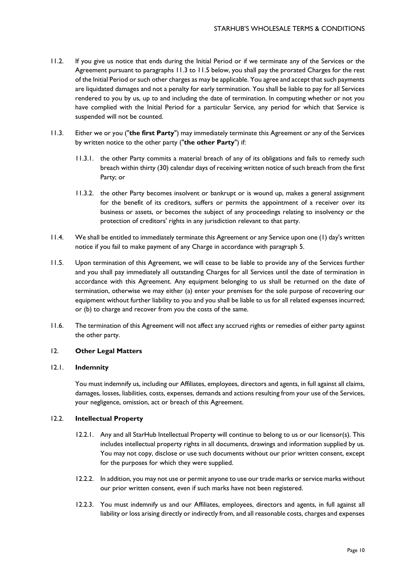- 11.2. If you give us notice that ends during the Initial Period or if we terminate any of the Services or the Agreement pursuant to paragraphs 11.3 to 11.5 below, you shall pay the prorated Charges for the rest of the Initial Period or such other charges as may be applicable. You agree and accept that such payments are liquidated damages and not a penalty for early termination. You shall be liable to pay for all Services rendered to you by us, up to and including the date of termination. In computing whether or not you have complied with the Initial Period for a particular Service, any period for which that Service is suspended will not be counted.
- 11.3. Either we or you ("**the first Party**") may immediately terminate this Agreement or any of the Services by written notice to the other party ("**the other Party**") if:
	- 11.3.1. the other Party commits a material breach of any of its obligations and fails to remedy such breach within thirty (30) calendar days of receiving written notice of such breach from the first Party; or
	- 11.3.2. the other Party becomes insolvent or bankrupt or is wound up, makes a general assignment for the benefit of its creditors, suffers or permits the appointment of a receiver over its business or assets, or becomes the subject of any proceedings relating to insolvency or the protection of creditors' rights in any jurisdiction relevant to that party.
- 11.4. We shall be entitled to immediately terminate this Agreement or any Service upon one (1) day's written notice if you fail to make payment of any Charge in accordance with paragraph 5.
- 11.5. Upon termination of this Agreement, we will cease to be liable to provide any of the Services further and you shall pay immediately all outstanding Charges for all Services until the date of termination in accordance with this Agreement. Any equipment belonging to us shall be returned on the date of termination, otherwise we may either (a) enter your premises for the sole purpose of recovering our equipment without further liability to you and you shall be liable to us for all related expenses incurred; or (b) to charge and recover from you the costs of the same.
- 11.6. The termination of this Agreement will not affect any accrued rights or remedies of either party against the other party.

# <span id="page-9-0"></span>12. **Other Legal Matters**

## 12.1. **Indemnity**

You must indemnify us, including our Affiliates, employees, directors and agents, in full against all claims, damages, losses, liabilities, costs, expenses, demands and actions resulting from your use of the Services, your negligence, omission, act or breach of this Agreement.

## 12.2. **Intellectual Property**

- 12.2.1. Any and all StarHub Intellectual Property will continue to belong to us or our licensor(s). This includes intellectual property rights in all documents, drawings and information supplied by us. You may not copy, disclose or use such documents without our prior written consent, except for the purposes for which they were supplied.
- 12.2.2. In addition, you may not use or permit anyone to use our trade marks or service marks without our prior written consent, even if such marks have not been registered.
- 12.2.3. You must indemnify us and our Affiliates, employees, directors and agents, in full against all liability or loss arising directly or indirectly from, and all reasonable costs, charges and expenses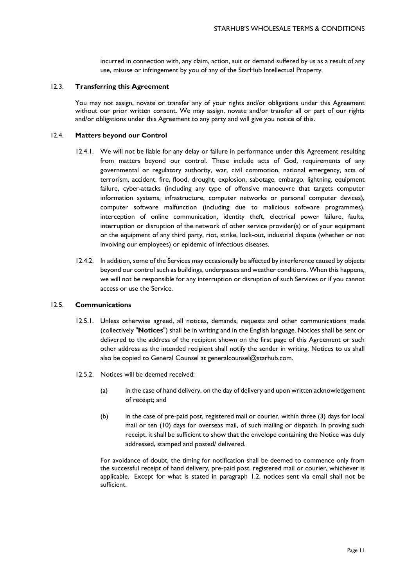incurred in connection with, any claim, action, suit or demand suffered by us as a result of any use, misuse or infringement by you of any of the StarHub Intellectual Property.

#### 12.3. **Transferring this Agreement**

You may not assign, novate or transfer any of your rights and/or obligations under this Agreement without our prior written consent. We may assign, novate and/or transfer all or part of our rights and/or obligations under this Agreement to any party and will give you notice of this.

#### 12.4. **Matters beyond our Control**

- 12.4.1. We will not be liable for any delay or failure in performance under this Agreement resulting from matters beyond our control. These include acts of God, requirements of any governmental or regulatory authority, war, civil commotion, national emergency, acts of terrorism, accident, fire, flood, drought, explosion, sabotage, embargo, lightning, equipment failure, cyber-attacks (including any type of offensive manoeuvre that targets computer information systems, infrastructure, computer networks or personal computer devices), computer software malfunction (including due to malicious software programmes), interception of online communication, identity theft, electrical power failure, faults, interruption or disruption of the network of other service provider(s) or of your equipment or the equipment of any third party, riot, strike, lock-out, industrial dispute (whether or not involving our employees) or epidemic of infectious diseases.
- 12.4.2. In addition, some of the Services may occasionally be affected by interference caused by objects beyond our control such as buildings, underpasses and weather conditions. When this happens, we will not be responsible for any interruption or disruption of such Services or if you cannot access or use the Service.

#### 12.5. **Communications**

- 12.5.1. Unless otherwise agreed, all notices, demands, requests and other communications made (collectively "**Notices**") shall be in writing and in the English language. Notices shall be sent or delivered to the address of the recipient shown on the first page of this Agreement or such other address as the intended recipient shall notify the sender in writing. Notices to us shall also be copied to General Counsel at generalcounsel@starhub.com.
- 12.5.2. Notices will be deemed received:
	- (a) in the case of hand delivery, on the day of delivery and upon written acknowledgement of receipt; and
	- (b) in the case of pre-paid post, registered mail or courier, within three (3) days for local mail or ten (10) days for overseas mail, of such mailing or dispatch. In proving such receipt, it shall be sufficient to show that the envelope containing the Notice was duly addressed, stamped and posted/ delivered.

For avoidance of doubt, the timing for notification shall be deemed to commence only from the successful receipt of hand delivery, pre-paid post, registered mail or courier, whichever is applicable. Except for what is stated in paragraph 1.2, notices sent via email shall not be sufficient.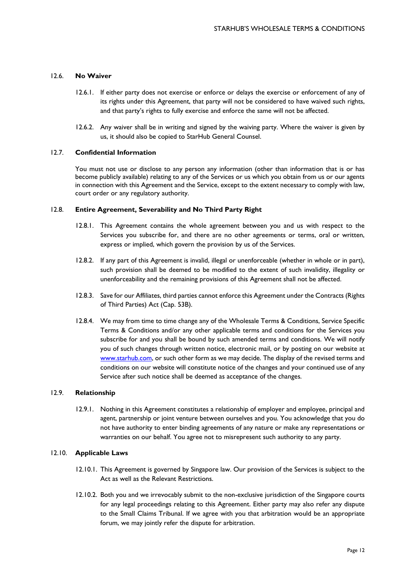## 12.6. **No Waiver**

- 12.6.1. If either party does not exercise or enforce or delays the exercise or enforcement of any of its rights under this Agreement, that party will not be considered to have waived such rights, and that party's rights to fully exercise and enforce the same will not be affected.
- 12.6.2. Any waiver shall be in writing and signed by the waiving party. Where the waiver is given by us, it should also be copied to StarHub General Counsel.

## 12.7. **Confidential Information**

You must not use or disclose to any person any information (other than information that is or has become publicly available) relating to any of the Services or us which you obtain from us or our agents in connection with this Agreement and the Service, except to the extent necessary to comply with law, court order or any regulatory authority.

## 12.8. **Entire Agreement, Severability and No Third Party Right**

- 12.8.1. This Agreement contains the whole agreement between you and us with respect to the Services you subscribe for, and there are no other agreements or terms, oral or written, express or implied, which govern the provision by us of the Services.
- 12.8.2. If any part of this Agreement is invalid, illegal or unenforceable (whether in whole or in part), such provision shall be deemed to be modified to the extent of such invalidity, illegality or unenforceability and the remaining provisions of this Agreement shall not be affected.
- 12.8.3. Save for our Affiliates, third parties cannot enforce this Agreement under the Contracts (Rights of Third Parties) Act (Cap. 53B).
- 12.8.4. We may from time to time change any of the Wholesale Terms & Conditions, Service Specific Terms & Conditions and/or any other applicable terms and conditions for the Services you subscribe for and you shall be bound by such amended terms and conditions. We will notify you of such changes through written notice, electronic mail, or by posting on our website at [www.starhub.com,](http://www.starhub.com/) or such other form as we may decide. The display of the revised terms and conditions on our website will constitute notice of the changes and your continued use of any Service after such notice shall be deemed as acceptance of the changes.

## 12.9. **Relationship**

12.9.1. Nothing in this Agreement constitutes a relationship of employer and employee, principal and agent, partnership or joint venture between ourselves and you. You acknowledge that you do not have authority to enter binding agreements of any nature or make any representations or warranties on our behalf. You agree not to misrepresent such authority to any party.

## 12.10. **Applicable Laws**

- 12.10.1. This Agreement is governed by Singapore law. Our provision of the Services is subject to the Act as well as the Relevant Restrictions.
- 12.10.2. Both you and we irrevocably submit to the non-exclusive jurisdiction of the Singapore courts for any legal proceedings relating to this Agreement. Either party may also refer any dispute to the Small Claims Tribunal. If we agree with you that arbitration would be an appropriate forum, we may jointly refer the dispute for arbitration.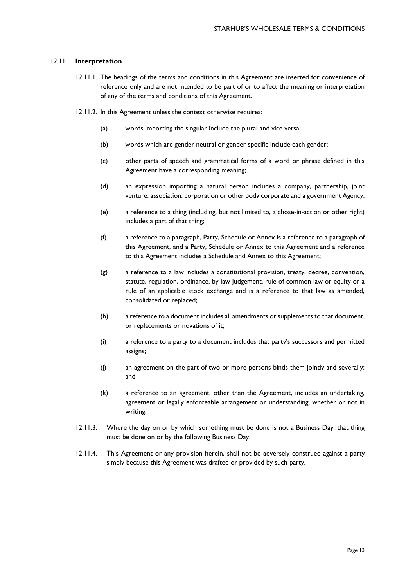## 12.11. **Interpretation**

- 12.11.1. The headings of the terms and conditions in this Agreement are inserted for convenience of reference only and are not intended to be part of or to affect the meaning or interpretation of any of the terms and conditions of this Agreement.
- 12.11.2. In this Agreement unless the context otherwise requires:
	- (a) words importing the singular include the plural and vice versa;
	- (b) words which are gender neutral or gender specific include each gender;
	- (c) other parts of speech and grammatical forms of a word or phrase defined in this Agreement have a corresponding meaning;
	- (d) an expression importing a natural person includes a company, partnership, joint venture, association, corporation or other body corporate and a government Agency;
	- (e) a reference to a thing (including, but not limited to, a chose-in-action or other right) includes a part of that thing;
	- (f) a reference to a paragraph, Party, Schedule or Annex is a reference to a paragraph of this Agreement, and a Party, Schedule or Annex to this Agreement and a reference to this Agreement includes a Schedule and Annex to this Agreement;
	- (g) a reference to a law includes a constitutional provision, treaty, decree, convention, statute, regulation, ordinance, by law judgement, rule of common law or equity or a rule of an applicable stock exchange and is a reference to that law as amended, consolidated or replaced;
	- (h) a reference to a document includes all amendments or supplements to that document, or replacements or novations of it;
	- (i) a reference to a party to a document includes that party's successors and permitted assigns;
	- (j) an agreement on the part of two or more persons binds them jointly and severally; and
	- (k) a reference to an agreement, other than the Agreement, includes an undertaking, agreement or legally enforceable arrangement or understanding, whether or not in writing.
- 12.11.3. Where the day on or by which something must be done is not a Business Day, that thing must be done on or by the following Business Day.
- 12.11.4. This Agreement or any provision herein, shall not be adversely construed against a party simply because this Agreement was drafted or provided by such party.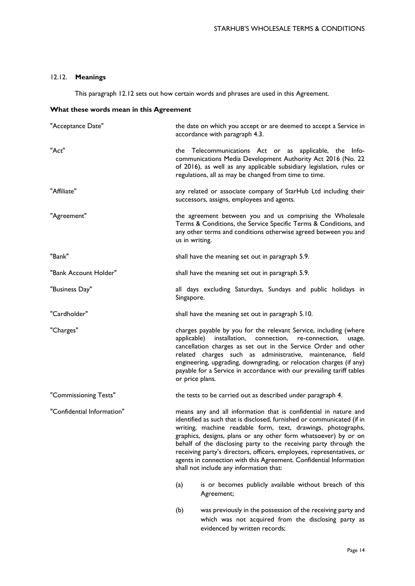# 12.12. **Meanings**

This paragraph 12.12 sets out how certain words and phrases are used in this Agreement.

## **What these words mean in this Agreement**

| "Acceptance Date"          | the date on which you accept or are deemed to accept a Service in<br>accordance with paragraph 4.3.                                                                                                                                                                                                                                                                                                                                                                                                                                                                                                            |
|----------------------------|----------------------------------------------------------------------------------------------------------------------------------------------------------------------------------------------------------------------------------------------------------------------------------------------------------------------------------------------------------------------------------------------------------------------------------------------------------------------------------------------------------------------------------------------------------------------------------------------------------------|
| "Act"                      | the Telecommunications Act or as applicable, the Info-<br>communications Media Development Authority Act 2016 (No. 22<br>of 2016), as well as any applicable subsidiary legislation, rules or<br>regulations, all as may be changed from time to time.                                                                                                                                                                                                                                                                                                                                                         |
| "Affiliate"                | any related or associate company of StarHub Ltd including their<br>successors, assigns, employees and agents.                                                                                                                                                                                                                                                                                                                                                                                                                                                                                                  |
| "Agreement"                | the agreement between you and us comprising the Wholesale<br>Terms & Conditions, the Service Specific Terms & Conditions, and<br>any other terms and conditions otherwise agreed between you and<br>us in writing.                                                                                                                                                                                                                                                                                                                                                                                             |
| "Bank"                     | shall have the meaning set out in paragraph 5.9.                                                                                                                                                                                                                                                                                                                                                                                                                                                                                                                                                               |
| "Bank Account Holder"      | shall have the meaning set out in paragraph 5.9.                                                                                                                                                                                                                                                                                                                                                                                                                                                                                                                                                               |
| "Business Day"             | all days excluding Saturdays, Sundays and public holidays in<br>Singapore.                                                                                                                                                                                                                                                                                                                                                                                                                                                                                                                                     |
| "Cardholder"               | shall have the meaning set out in paragraph 5.10.                                                                                                                                                                                                                                                                                                                                                                                                                                                                                                                                                              |
| "Charges"                  | charges payable by you for the relevant Service, including (where<br>applicable) installation, connection, re-connection,<br>usage,<br>cancellation charges as set out in the Service Order and other<br>related charges such as administrative, maintenance, field<br>engineering, upgrading, downgrading, or relocation charges (if any)<br>payable for a Service in accordance with our prevailing tariff tables<br>or price plans.                                                                                                                                                                         |
| "Commissioning Tests"      | the tests to be carried out as described under paragraph 4.                                                                                                                                                                                                                                                                                                                                                                                                                                                                                                                                                    |
| "Confidential Information" | means any and all information that is confidential in nature and<br>identified as such that is disclosed, furnished or communicated (if in<br>writing, machine readable form, text, drawings, photographs,<br>graphics, designs, plans or any other form whatsoever) by or on<br>behalf of the disclosing party to the receiving party through the<br>receiving party's directors, officers, employees, representatives, or<br>agents in connection with this Agreement. Confidential Information<br>shall not include any information that:<br>is or becomes publicly available without breach of this<br>(a) |
|                            | Agreement;                                                                                                                                                                                                                                                                                                                                                                                                                                                                                                                                                                                                     |

(b) was previously in the possession of the receiving party and which was not acquired from the disclosing party as evidenced by written records;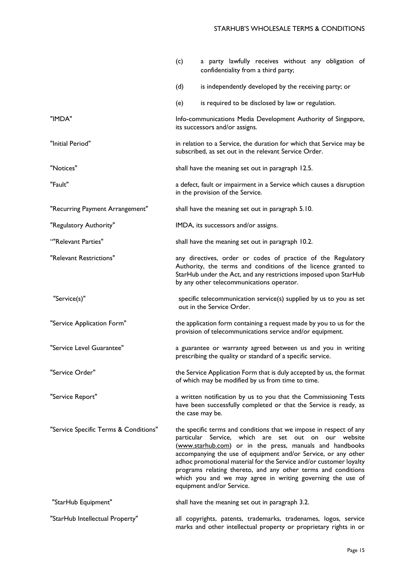|                                       | (c)<br>a party lawfully receives without any obligation of<br>confidentiality from a third party;                                                                                                                                                                                                                                                                                                                                                                                          |
|---------------------------------------|--------------------------------------------------------------------------------------------------------------------------------------------------------------------------------------------------------------------------------------------------------------------------------------------------------------------------------------------------------------------------------------------------------------------------------------------------------------------------------------------|
|                                       | (d)<br>is independently developed by the receiving party; or                                                                                                                                                                                                                                                                                                                                                                                                                               |
|                                       | (e)<br>is required to be disclosed by law or regulation.                                                                                                                                                                                                                                                                                                                                                                                                                                   |
| "IMDA"                                | Info-communications Media Development Authority of Singapore,<br>its successors and/or assigns.                                                                                                                                                                                                                                                                                                                                                                                            |
| "Initial Period"                      | in relation to a Service, the duration for which that Service may be<br>subscribed, as set out in the relevant Service Order.                                                                                                                                                                                                                                                                                                                                                              |
| "Notices"                             | shall have the meaning set out in paragraph 12.5.                                                                                                                                                                                                                                                                                                                                                                                                                                          |
| "Fault"                               | a defect, fault or impairment in a Service which causes a disruption<br>in the provision of the Service.                                                                                                                                                                                                                                                                                                                                                                                   |
| "Recurring Payment Arrangement"       | shall have the meaning set out in paragraph 5.10.                                                                                                                                                                                                                                                                                                                                                                                                                                          |
| "Regulatory Authority"                | IMDA, its successors and/or assigns.                                                                                                                                                                                                                                                                                                                                                                                                                                                       |
| ""Relevant Parties"                   | shall have the meaning set out in paragraph 10.2.                                                                                                                                                                                                                                                                                                                                                                                                                                          |
| "Relevant Restrictions"               | any directives, order or codes of practice of the Regulatory<br>Authority, the terms and conditions of the licence granted to<br>StarHub under the Act, and any restrictions imposed upon StarHub<br>by any other telecommunications operator.                                                                                                                                                                                                                                             |
| "Service(s)"                          | specific telecommunication service(s) supplied by us to you as set<br>out in the Service Order.                                                                                                                                                                                                                                                                                                                                                                                            |
| "Service Application Form"            | the application form containing a request made by you to us for the<br>provision of telecommunications service and/or equipment.                                                                                                                                                                                                                                                                                                                                                           |
| "Service Level Guarantee"             | a guarantee or warranty agreed between us and you in writing<br>prescribing the quality or standard of a specific service.                                                                                                                                                                                                                                                                                                                                                                 |
| "Service Order"                       | the Service Application Form that is duly accepted by us, the format<br>of which may be modified by us from time to time.                                                                                                                                                                                                                                                                                                                                                                  |
| "Service Report"                      | a written notification by us to you that the Commissioning Tests<br>have been successfully completed or that the Service is ready, as<br>the case may be.                                                                                                                                                                                                                                                                                                                                  |
| "Service Specific Terms & Conditions" | the specific terms and conditions that we impose in respect of any<br>particular Service, which are set out on our website<br>(www.starhub.com) or in the press, manuals and handbooks<br>accompanying the use of equipment and/or Service, or any other<br>adhoc promotional material for the Service and/or customer loyalty<br>programs relating thereto, and any other terms and conditions<br>which you and we may agree in writing governing the use of<br>equipment and/or Service. |
| "StarHub Equipment"                   | shall have the meaning set out in paragraph 3.2.                                                                                                                                                                                                                                                                                                                                                                                                                                           |
| "StarHub Intellectual Property"       | all copyrights, patents, trademarks, tradenames, logos, service<br>marks and other intellectual property or proprietary rights in or                                                                                                                                                                                                                                                                                                                                                       |